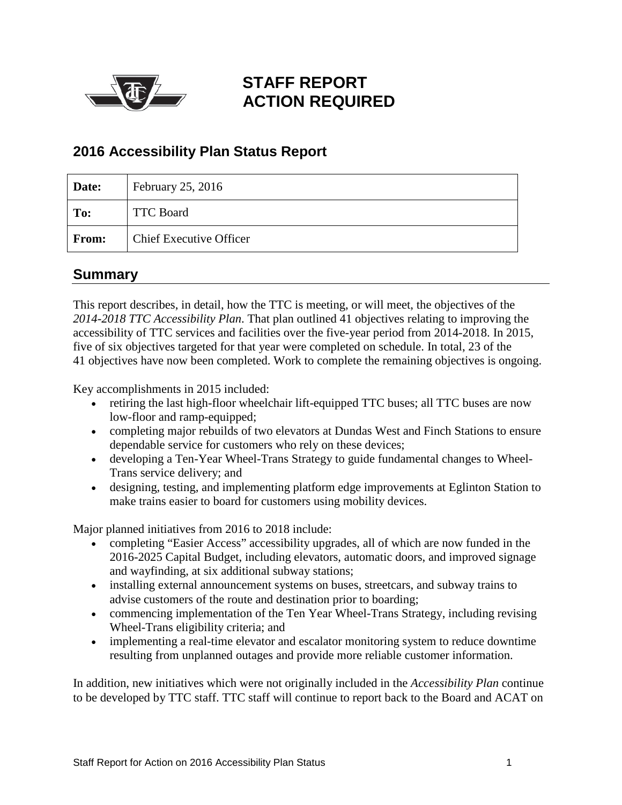

## **STAFF REPORT ACTION REQUIRED**

## **2016 Accessibility Plan Status Report**

| Date: | February 25, 2016              |
|-------|--------------------------------|
| To:   | <b>TTC Board</b>               |
| From: | <b>Chief Executive Officer</b> |

### <span id="page-0-0"></span>**Summary**

This report describes, in detail, how the TTC is meeting, or will meet, the objectives of the *2014-2018 TTC Accessibility Plan*. That plan outlined 41 objectives relating to improving the accessibility of TTC services and facilities over the five-year period from 2014-2018. In 2015, five of six objectives targeted for that year were completed on schedule. In total, 23 of the 41 objectives have now been completed. Work to complete the remaining objectives is ongoing.

Key accomplishments in 2015 included:

- retiring the last high-floor wheelchair lift-equipped TTC buses; all TTC buses are now low-floor and ramp-equipped;
- completing major rebuilds of two elevators at Dundas West and Finch Stations to ensure dependable service for customers who rely on these devices;
- developing a Ten-Year Wheel-Trans Strategy to guide fundamental changes to Wheel-Trans service delivery; and
- designing, testing, and implementing platform edge improvements at Eglinton Station to make trains easier to board for customers using mobility devices.

Major planned initiatives from 2016 to 2018 include:

- completing "Easier Access" accessibility upgrades, all of which are now funded in the 2016-2025 Capital Budget, including elevators, automatic doors, and improved signage and wayfinding, at six additional subway stations;
- installing external announcement systems on buses, streetcars, and subway trains to advise customers of the route and destination prior to boarding;
- commencing implementation of the Ten Year Wheel-Trans Strategy, including revising Wheel-Trans eligibility criteria; and
- implementing a real-time elevator and escalator monitoring system to reduce downtime resulting from unplanned outages and provide more reliable customer information.

In addition, new initiatives which were not originally included in the *Accessibility Plan* continue to be developed by TTC staff. TTC staff will continue to report back to the Board and ACAT on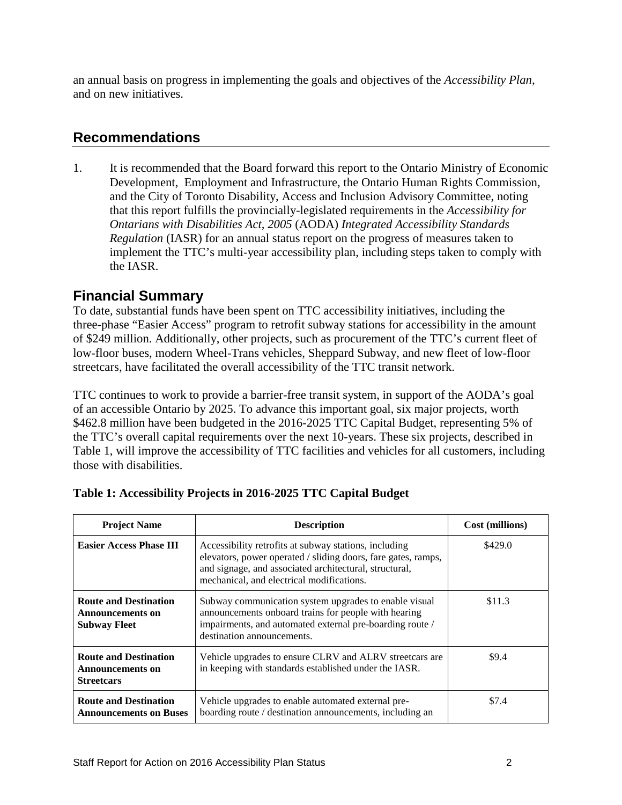an annual basis on progress in implementing the goals and objectives of the *Accessibility Plan,*  and on new initiatives.

### <span id="page-1-0"></span>**Recommendations**

1. It is recommended that the Board forward this report to the Ontario Ministry of Economic Development, Employment and Infrastructure, the Ontario Human Rights Commission, and the City of Toronto Disability, Access and Inclusion Advisory Committee, noting that this report fulfills the provincially-legislated requirements in the *Accessibility for Ontarians with Disabilities Act, 2005* (AODA) *Integrated Accessibility Standards Regulation* (IASR) for an annual status report on the progress of measures taken to implement the TTC's multi-year accessibility plan, including steps taken to comply with the IASR.

## **Financial Summary**

To date, substantial funds have been spent on TTC accessibility initiatives, including the three-phase "Easier Access" program to retrofit subway stations for accessibility in the amount of \$249 million. Additionally, other projects, such as procurement of the TTC's current fleet of low-floor buses, modern Wheel-Trans vehicles, Sheppard Subway, and new fleet of low-floor streetcars, have facilitated the overall accessibility of the TTC transit network.

TTC continues to work to provide a barrier-free transit system, in support of the AODA's goal of an accessible Ontario by 2025. To advance this important goal, six major projects, worth \$462.8 million have been budgeted in the 2016-2025 TTC Capital Budget, representing 5% of the TTC's overall capital requirements over the next 10-years. These six projects, described in Table 1, will improve the accessibility of TTC facilities and vehicles for all customers, including those with disabilities.

| <b>Project Name</b>                                                     | <b>Description</b>                                                                                                                                                                                                            | Cost (millions) |
|-------------------------------------------------------------------------|-------------------------------------------------------------------------------------------------------------------------------------------------------------------------------------------------------------------------------|-----------------|
| <b>Easier Access Phase III</b>                                          | Accessibility retrofits at subway stations, including<br>elevators, power operated / sliding doors, fare gates, ramps,<br>and signage, and associated architectural, structural,<br>mechanical, and electrical modifications. | \$429.0         |
| <b>Route and Destination</b><br>Announcements on<br><b>Subway Fleet</b> | Subway communication system upgrades to enable visual<br>announcements onboard trains for people with hearing<br>impairments, and automated external pre-boarding route /<br>destination announcements.                       | \$11.3          |
| <b>Route and Destination</b><br>Announcements on<br><b>Streetcars</b>   | Vehicle upgrades to ensure CLRV and ALRV street cars are<br>in keeping with standards established under the IASR.                                                                                                             | \$9.4           |
| <b>Route and Destination</b><br><b>Announcements on Buses</b>           | Vehicle upgrades to enable automated external pre-<br>boarding route / destination announcements, including an                                                                                                                | \$7.4           |

|  |  |  | Table 1: Accessibility Projects in 2016-2025 TTC Capital Budget |
|--|--|--|-----------------------------------------------------------------|
|  |  |  |                                                                 |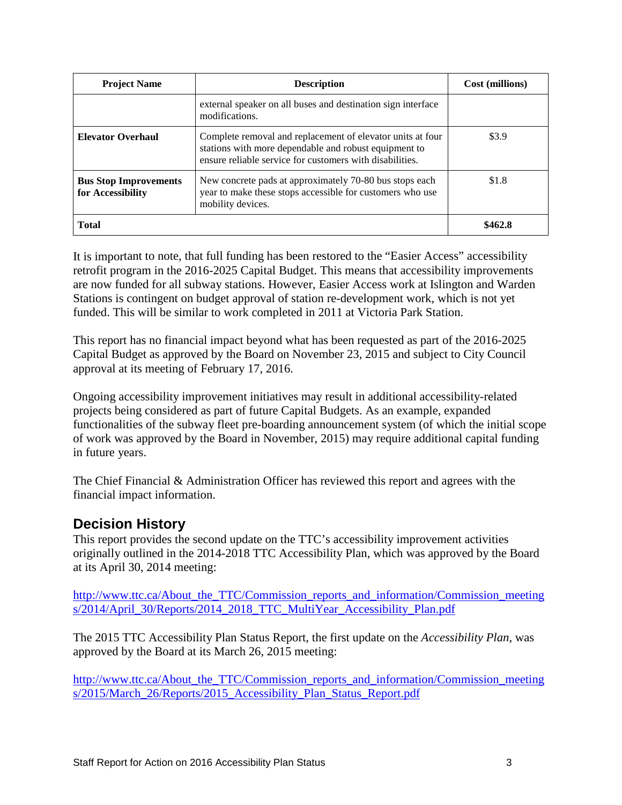| <b>Project Name</b>                               | <b>Description</b>                                                                                                                                                              | Cost (millions) |
|---------------------------------------------------|---------------------------------------------------------------------------------------------------------------------------------------------------------------------------------|-----------------|
|                                                   | external speaker on all buses and destination sign interface<br>modifications.                                                                                                  |                 |
| <b>Elevator Overhaul</b>                          | Complete removal and replacement of elevator units at four<br>stations with more dependable and robust equipment to<br>ensure reliable service for customers with disabilities. | \$3.9           |
| <b>Bus Stop Improvements</b><br>for Accessibility | New concrete pads at approximately 70-80 bus stops each<br>year to make these stops accessible for customers who use<br>mobility devices.                                       | \$1.8           |
| <b>Total</b>                                      |                                                                                                                                                                                 | \$462.8         |

It is important to note, that full funding has been restored to the "Easier Access" accessibility retrofit program in the 2016-2025 Capital Budget. This means that accessibility improvements are now funded for all subway stations. However, Easier Access work at Islington and Warden Stations is contingent on budget approval of station re-development work, which is not yet funded. This will be similar to work completed in 2011 at Victoria Park Station.

This report has no financial impact beyond what has been requested as part of the 2016-2025 Capital Budget as approved by the Board on November 23, 2015 and subject to City Council approval at its meeting of February 17, 2016.

Ongoing accessibility improvement initiatives may result in additional accessibility-related projects being considered as part of future Capital Budgets. As an example, expanded functionalities of the subway fleet pre-boarding announcement system (of which the initial scope of work was approved by the Board in November, 2015) may require additional capital funding in future years.

The Chief Financial & Administration Officer has reviewed this report and agrees with the financial impact information.

## **Decision History**

This report provides the second update on the TTC's accessibility improvement activities originally outlined in the 2014-2018 TTC Accessibility Plan, which was approved by the Board at its April 30, 2014 meeting:

[http://www.ttc.ca/About\\_the\\_TTC/Commission\\_reports\\_and\\_information/Commission\\_meeting](http://www.ttc.ca/About_the_TTC/Commission_reports_and_information/Commission_meetings/2014/April_30/Reports/2014_2018_TTC_MultiYear_Accessibility_Plan.pdf) [s/2014/April\\_30/Reports/2014\\_2018\\_TTC\\_MultiYear\\_Accessibility\\_Plan.pdf](http://www.ttc.ca/About_the_TTC/Commission_reports_and_information/Commission_meetings/2014/April_30/Reports/2014_2018_TTC_MultiYear_Accessibility_Plan.pdf)

The 2015 TTC Accessibility Plan Status Report, the first update on the *Accessibility Plan*, was approved by the Board at its March 26, 2015 meeting:

[http://www.ttc.ca/About\\_the\\_TTC/Commission\\_reports\\_and\\_information/Commission\\_meeting](http://www.ttc.ca/About_the_TTC/Commission_reports_and_information/Commission_meetings/2015/March_26/Reports/2015_Accessibility_Plan_Status_Report.pdf) [s/2015/March\\_26/Reports/2015\\_Accessibility\\_Plan\\_Status\\_Report.pdf](http://www.ttc.ca/About_the_TTC/Commission_reports_and_information/Commission_meetings/2015/March_26/Reports/2015_Accessibility_Plan_Status_Report.pdf)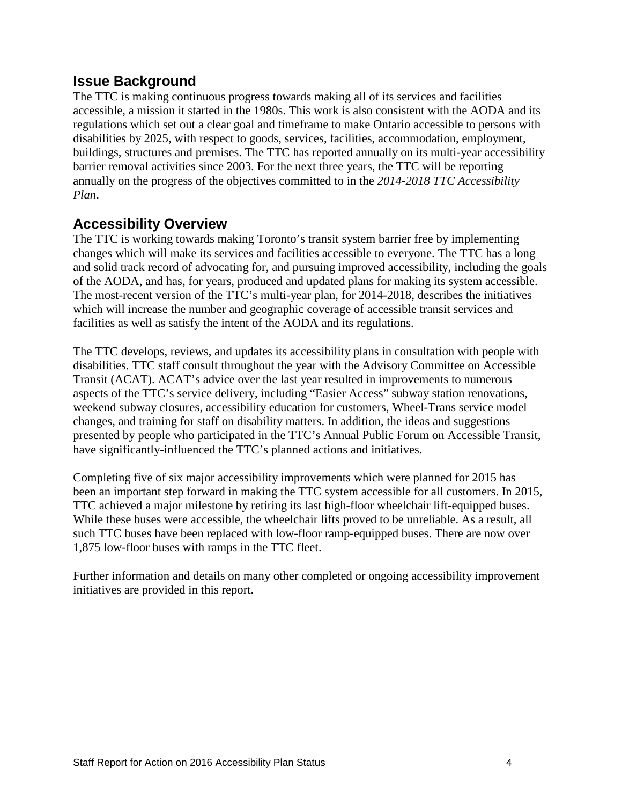### **Issue Background**

The TTC is making continuous progress towards making all of its services and facilities accessible, a mission it started in the 1980s. This work is also consistent with the AODA and its regulations which set out a clear goal and timeframe to make Ontario accessible to persons with disabilities by 2025, with respect to goods, services, facilities, accommodation, employment, buildings, structures and premises. The TTC has reported annually on its multi-year accessibility barrier removal activities since 2003. For the next three years, the TTC will be reporting annually on the progress of the objectives committed to in the *2014-2018 TTC Accessibility Plan*.

### **Accessibility Overview**

The TTC is working towards making Toronto's transit system barrier free by implementing changes which will make its services and facilities accessible to everyone. The TTC has a long and solid track record of advocating for, and pursuing improved accessibility, including the goals of the AODA, and has, for years, produced and updated plans for making its system accessible. The most-recent version of the TTC's multi-year plan, for 2014-2018, describes the initiatives which will increase the number and geographic coverage of accessible transit services and facilities as well as satisfy the intent of the AODA and its regulations.

The TTC develops, reviews, and updates its accessibility plans in consultation with people with disabilities. TTC staff consult throughout the year with the Advisory Committee on Accessible Transit (ACAT). ACAT's advice over the last year resulted in improvements to numerous aspects of the TTC's service delivery, including "Easier Access" subway station renovations, weekend subway closures, accessibility education for customers, Wheel-Trans service model changes, and training for staff on disability matters. In addition, the ideas and suggestions presented by people who participated in the TTC's Annual Public Forum on Accessible Transit, have significantly-influenced the TTC's planned actions and initiatives.

Completing five of six major accessibility improvements which were planned for 2015 has been an important step forward in making the TTC system accessible for all customers. In 2015, TTC achieved a major milestone by retiring its last high-floor wheelchair lift-equipped buses. While these buses were accessible, the wheelchair lifts proved to be unreliable. As a result, all such TTC buses have been replaced with low-floor ramp-equipped buses. There are now over 1,875 low-floor buses with ramps in the TTC fleet.

Further information and details on many other completed or ongoing accessibility improvement initiatives are provided in this report.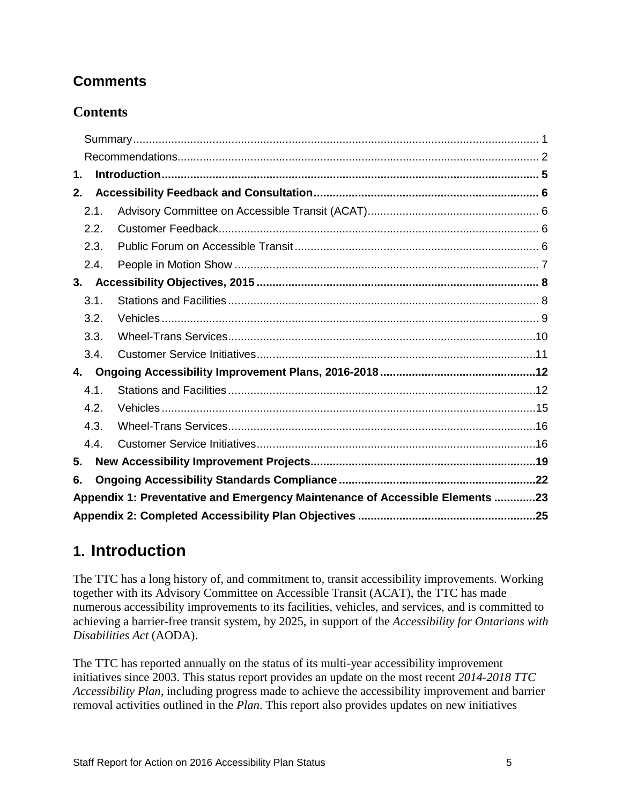## **Comments**

## **Contents**

| 1. |      |                                                                              |  |
|----|------|------------------------------------------------------------------------------|--|
| 2. |      |                                                                              |  |
|    | 2.1. |                                                                              |  |
|    | 2.2. |                                                                              |  |
|    | 2.3. |                                                                              |  |
|    | 2.4. |                                                                              |  |
| 3. |      |                                                                              |  |
|    | 3.1. |                                                                              |  |
|    | 3.2. |                                                                              |  |
|    | 3.3. |                                                                              |  |
|    | 3.4. |                                                                              |  |
| 4. |      |                                                                              |  |
|    | 4.1. |                                                                              |  |
|    | 4.2. |                                                                              |  |
|    | 4.3. |                                                                              |  |
|    | 4.4. |                                                                              |  |
| 5. |      |                                                                              |  |
| 6. |      |                                                                              |  |
|    |      | Appendix 1: Preventative and Emergency Maintenance of Accessible Elements 23 |  |
|    |      |                                                                              |  |

# <span id="page-4-0"></span>**1. Introduction**

The TTC has a long history of, and commitment to, transit accessibility improvements. Working together with its Advisory Committee on Accessible Transit (ACAT), the TTC has made numerous accessibility improvements to its facilities, vehicles, and services, and is committed to achieving a barrier-free transit system, by 2025, in support of the *Accessibility for Ontarians with Disabilities Act* (AODA).

The TTC has reported annually on the status of its multi-year accessibility improvement initiatives since 2003. This status report provides an update on the most recent *2014-2018 TTC Accessibility Plan*, including progress made to achieve the accessibility improvement and barrier removal activities outlined in the *Plan*. This report also provides updates on new initiatives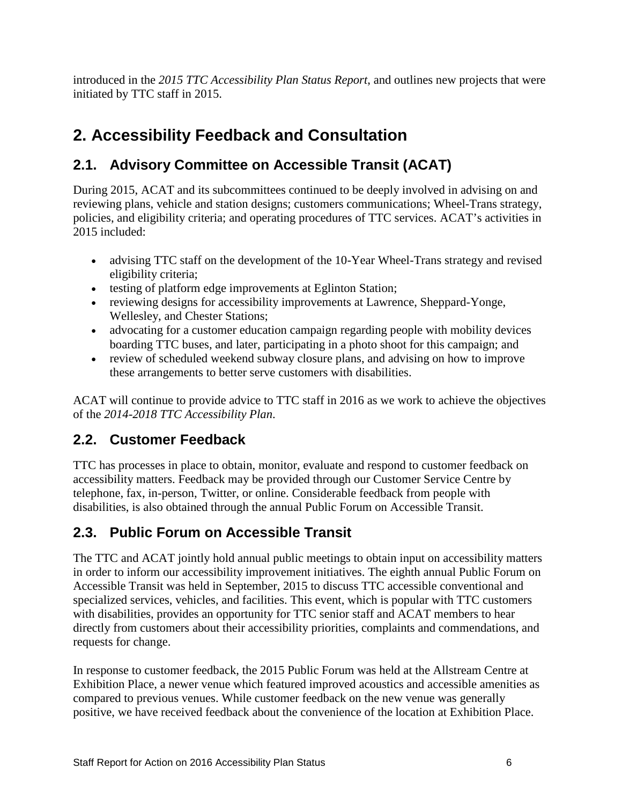introduced in the *2015 TTC Accessibility Plan Status Report*, and outlines new projects that were initiated by TTC staff in 2015.

# <span id="page-5-0"></span>**2. Accessibility Feedback and Consultation**

## <span id="page-5-1"></span>**2.1. Advisory Committee on Accessible Transit (ACAT)**

During 2015, ACAT and its subcommittees continued to be deeply involved in advising on and reviewing plans, vehicle and station designs; customers communications; Wheel-Trans strategy, policies, and eligibility criteria; and operating procedures of TTC services. ACAT's activities in 2015 included:

- advising TTC staff on the development of the 10-Year Wheel-Trans strategy and revised eligibility criteria;
- testing of platform edge improvements at Eglinton Station;
- reviewing designs for accessibility improvements at Lawrence, Sheppard-Yonge, Wellesley, and Chester Stations;
- advocating for a customer education campaign regarding people with mobility devices boarding TTC buses, and later, participating in a photo shoot for this campaign; and
- review of scheduled weekend subway closure plans, and advising on how to improve these arrangements to better serve customers with disabilities.

ACAT will continue to provide advice to TTC staff in 2016 as we work to achieve the objectives of the *2014-2018 TTC Accessibility Plan*.

## <span id="page-5-2"></span>**2.2. Customer Feedback**

TTC has processes in place to obtain, monitor, evaluate and respond to customer feedback on accessibility matters. Feedback may be provided through our Customer Service Centre by telephone, fax, in-person, Twitter, or online. Considerable feedback from people with disabilities, is also obtained through the annual Public Forum on Accessible Transit.

## <span id="page-5-3"></span>**2.3. Public Forum on Accessible Transit**

The TTC and ACAT jointly hold annual public meetings to obtain input on accessibility matters in order to inform our accessibility improvement initiatives. The eighth annual Public Forum on Accessible Transit was held in September, 2015 to discuss TTC accessible conventional and specialized services, vehicles, and facilities. This event, which is popular with TTC customers with disabilities, provides an opportunity for TTC senior staff and ACAT members to hear directly from customers about their accessibility priorities, complaints and commendations, and requests for change.

In response to customer feedback, the 2015 Public Forum was held at the Allstream Centre at Exhibition Place, a newer venue which featured improved acoustics and accessible amenities as compared to previous venues. While customer feedback on the new venue was generally positive, we have received feedback about the convenience of the location at Exhibition Place.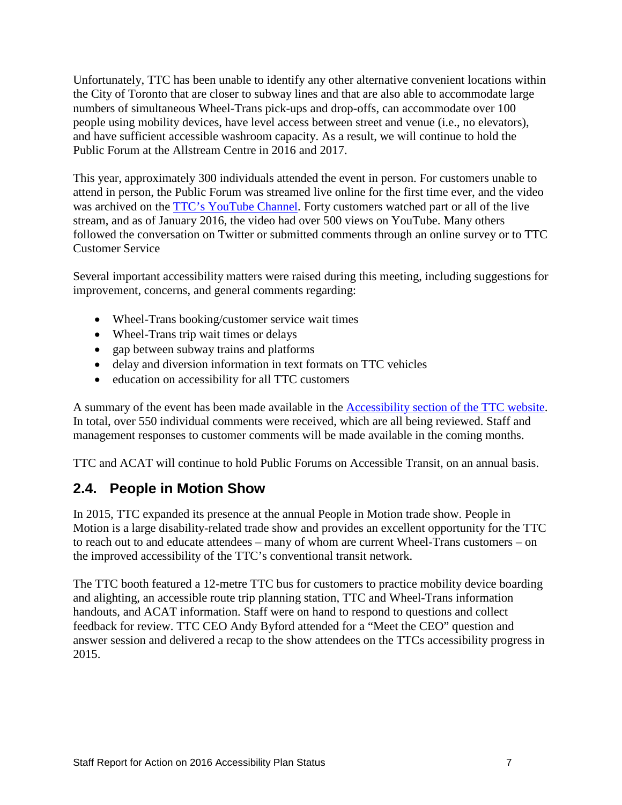Unfortunately, TTC has been unable to identify any other alternative convenient locations within the City of Toronto that are closer to subway lines and that are also able to accommodate large numbers of simultaneous Wheel-Trans pick-ups and drop-offs, can accommodate over 100 people using mobility devices, have level access between street and venue (i.e., no elevators), and have sufficient accessible washroom capacity. As a result, we will continue to hold the Public Forum at the Allstream Centre in 2016 and 2017.

This year, approximately 300 individuals attended the event in person. For customers unable to attend in person, the Public Forum was streamed live online for the first time ever, and the video was archived on the [TTC's YouTube Channel.](http://www.youtube.com/officialttcchannel) Forty customers watched part or all of the live stream, and as of January 2016, the video had over 500 views on YouTube. Many others followed the conversation on Twitter or submitted comments through an online survey or to TTC Customer Service

Several important accessibility matters were raised during this meeting, including suggestions for improvement, concerns, and general comments regarding:

- Wheel-Trans booking/customer service wait times
- Wheel-Trans trip wait times or delays
- gap between subway trains and platforms
- delay and diversion information in text formats on TTC vehicles
- education on accessibility for all TTC customers

A summary of the event has been made available in the [Accessibility section of the TTC website.](http://www.ttc.ca/TTC_Accessibility/Public_Forum_on_Accessible_Transit/2015_Public_Forum_on_Accessible_Transit.jsp) In total, over 550 individual comments were received, which are all being reviewed. Staff and management responses to customer comments will be made available in the coming months.

TTC and ACAT will continue to hold Public Forums on Accessible Transit, on an annual basis.

## <span id="page-6-0"></span>**2.4. People in Motion Show**

In 2015, TTC expanded its presence at the annual People in Motion trade show. People in Motion is a large disability-related trade show and provides an excellent opportunity for the TTC to reach out to and educate attendees – many of whom are current Wheel-Trans customers – on the improved accessibility of the TTC's conventional transit network.

The TTC booth featured a 12-metre TTC bus for customers to practice mobility device boarding and alighting, an accessible route trip planning station, TTC and Wheel-Trans information handouts, and ACAT information. Staff were on hand to respond to questions and collect feedback for review. TTC CEO Andy Byford attended for a "Meet the CEO" question and answer session and delivered a recap to the show attendees on the TTCs accessibility progress in 2015.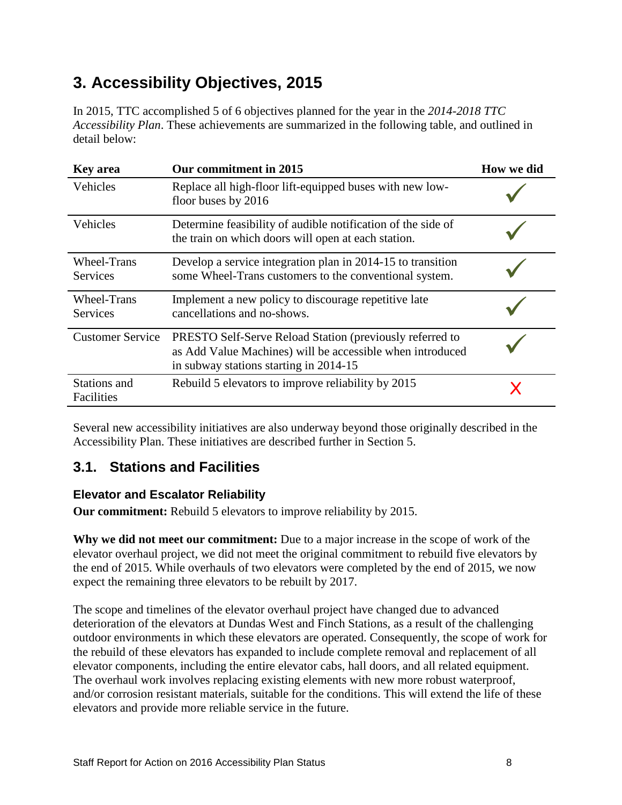# <span id="page-7-0"></span>**3. Accessibility Objectives, 2015**

In 2015, TTC accomplished 5 of 6 objectives planned for the year in the *2014-2018 TTC Accessibility Plan*. These achievements are summarized in the following table, and outlined in detail below:

| <b>Key area</b>                       | Our commitment in 2015                                                                                                                                          | How we did |
|---------------------------------------|-----------------------------------------------------------------------------------------------------------------------------------------------------------------|------------|
| Vehicles                              | Replace all high-floor lift-equipped buses with new low-<br>floor buses by 2016                                                                                 |            |
| Vehicles                              | Determine feasibility of audible notification of the side of<br>the train on which doors will open at each station.                                             |            |
| <b>Wheel-Trans</b><br><b>Services</b> | Develop a service integration plan in 2014-15 to transition<br>some Wheel-Trans customers to the conventional system.                                           |            |
| Wheel-Trans<br><b>Services</b>        | Implement a new policy to discourage repetitive late<br>cancellations and no-shows.                                                                             |            |
| <b>Customer Service</b>               | PRESTO Self-Serve Reload Station (previously referred to<br>as Add Value Machines) will be accessible when introduced<br>in subway stations starting in 2014-15 |            |
| Stations and<br>Facilities            | Rebuild 5 elevators to improve reliability by 2015                                                                                                              |            |

Several new accessibility initiatives are also underway beyond those originally described in the Accessibility Plan. These initiatives are described further in Section 5.

## <span id="page-7-1"></span>**3.1. Stations and Facilities**

### **Elevator and Escalator Reliability**

**Our commitment:** Rebuild 5 elevators to improve reliability by 2015.

**Why we did not meet our commitment:** Due to a major increase in the scope of work of the elevator overhaul project, we did not meet the original commitment to rebuild five elevators by the end of 2015. While overhauls of two elevators were completed by the end of 2015, we now expect the remaining three elevators to be rebuilt by 2017.

The scope and timelines of the elevator overhaul project have changed due to advanced deterioration of the elevators at Dundas West and Finch Stations, as a result of the challenging outdoor environments in which these elevators are operated. Consequently, the scope of work for the rebuild of these elevators has expanded to include complete removal and replacement of all elevator components, including the entire elevator cabs, hall doors, and all related equipment. The overhaul work involves replacing existing elements with new more robust waterproof, and/or corrosion resistant materials, suitable for the conditions. This will extend the life of these elevators and provide more reliable service in the future.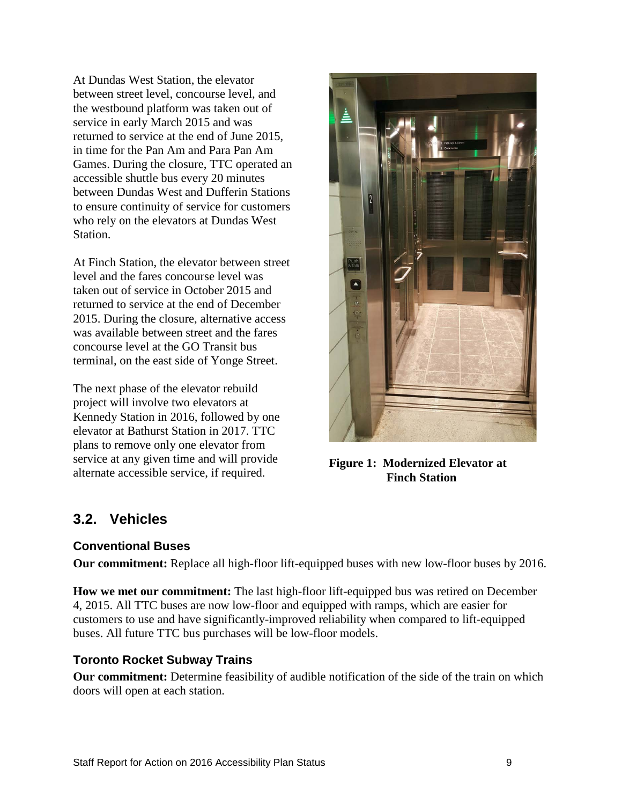At Dundas West Station, the elevator between street level, concourse level, and the westbound platform was taken out of service in early March 2015 and was returned to service at the end of June 2015, in time for the Pan Am and Para Pan Am Games. During the closure, TTC operated an accessible shuttle bus every 20 minutes between Dundas West and Dufferin Stations to ensure continuity of service for customers who rely on the elevators at Dundas West Station.

At Finch Station, the elevator between street level and the fares concourse level was taken out of service in October 2015 and returned to service at the end of December 2015. During the closure, alternative access was available between street and the fares concourse level at the GO Transit bus terminal, on the east side of Yonge Street.

The next phase of the elevator rebuild project will involve two elevators at Kennedy Station in 2016, followed by one elevator at Bathurst Station in 2017. TTC plans to remove only one elevator from service at any given time and will provide service at any given time and will provide<br>alternate accessible service, if required. **Figure 1:** Modernized Elevator at<br>**Finch Station** 



**Finch Station**

## <span id="page-8-0"></span>**3.2. Vehicles**

#### **Conventional Buses**

**Our commitment:** Replace all high-floor lift-equipped buses with new low-floor buses by 2016.

**How we met our commitment:** The last high-floor lift-equipped bus was retired on December 4, 2015. All TTC buses are now low-floor and equipped with ramps, which are easier for customers to use and have significantly-improved reliability when compared to lift-equipped buses. All future TTC bus purchases will be low-floor models.

#### **Toronto Rocket Subway Trains**

**Our commitment:** Determine feasibility of audible notification of the side of the train on which doors will open at each station.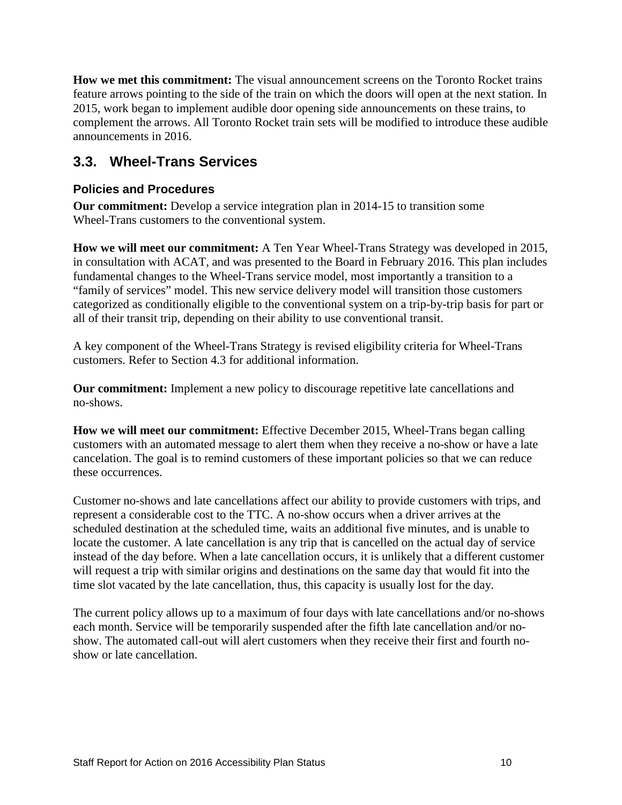**How we met this commitment:** The visual announcement screens on the Toronto Rocket trains feature arrows pointing to the side of the train on which the doors will open at the next station. In 2015, work began to implement audible door opening side announcements on these trains, to complement the arrows. All Toronto Rocket train sets will be modified to introduce these audible announcements in 2016.

## <span id="page-9-0"></span>**3.3. Wheel-Trans Services**

#### **Policies and Procedures**

**Our commitment:** Develop a service integration plan in 2014-15 to transition some Wheel-Trans customers to the conventional system.

**How we will meet our commitment:** A Ten Year Wheel-Trans Strategy was developed in 2015, in consultation with ACAT, and was presented to the Board in February 2016. This plan includes fundamental changes to the Wheel-Trans service model, most importantly a transition to a "family of services" model. This new service delivery model will transition those customers categorized as conditionally eligible to the conventional system on a trip-by-trip basis for part or all of their transit trip, depending on their ability to use conventional transit.

A key component of the Wheel-Trans Strategy is revised eligibility criteria for Wheel-Trans customers. Refer to Section 4.3 for additional information.

**Our commitment:** Implement a new policy to discourage repetitive late cancellations and no-shows.

**How we will meet our commitment:** Effective December 2015, Wheel-Trans began calling customers with an automated message to alert them when they receive a no-show or have a late cancelation. The goal is to remind customers of these important policies so that we can reduce these occurrences.

Customer no-shows and late cancellations affect our ability to provide customers with trips, and represent a considerable cost to the TTC. A no-show occurs when a driver arrives at the scheduled destination at the scheduled time, waits an additional five minutes, and is unable to locate the customer. A late cancellation is any trip that is cancelled on the actual day of service instead of the day before. When a late cancellation occurs, it is unlikely that a different customer will request a trip with similar origins and destinations on the same day that would fit into the time slot vacated by the late cancellation, thus, this capacity is usually lost for the day.

The current policy allows up to a maximum of four days with late cancellations and/or no-shows each month. Service will be temporarily suspended after the fifth late cancellation and/or noshow. The automated call-out will alert customers when they receive their first and fourth noshow or late cancellation.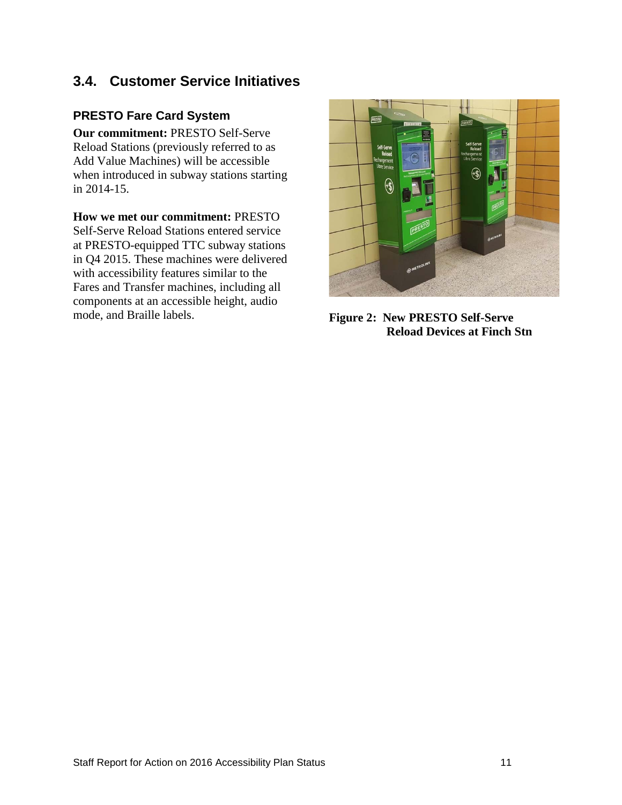## <span id="page-10-0"></span>**3.4. Customer Service Initiatives**

#### **PRESTO Fare Card System**

**Our commitment:** PRESTO Self-Serve Reload Stations (previously referred to as Add Value Machines) will be accessible when introduced in subway stations starting in 2014-15.

#### **How we met our commitment:** PRESTO

Self-Serve Reload Stations entered service at PRESTO-equipped TTC subway stations in Q4 2015. These machines were delivered with accessibility features similar to the Fares and Transfer machines, including all components at an accessible height, audio mode, and Braille labels. **Figure 2: New PRESTO Self-Serve** 



**Reload Devices at Finch Stn**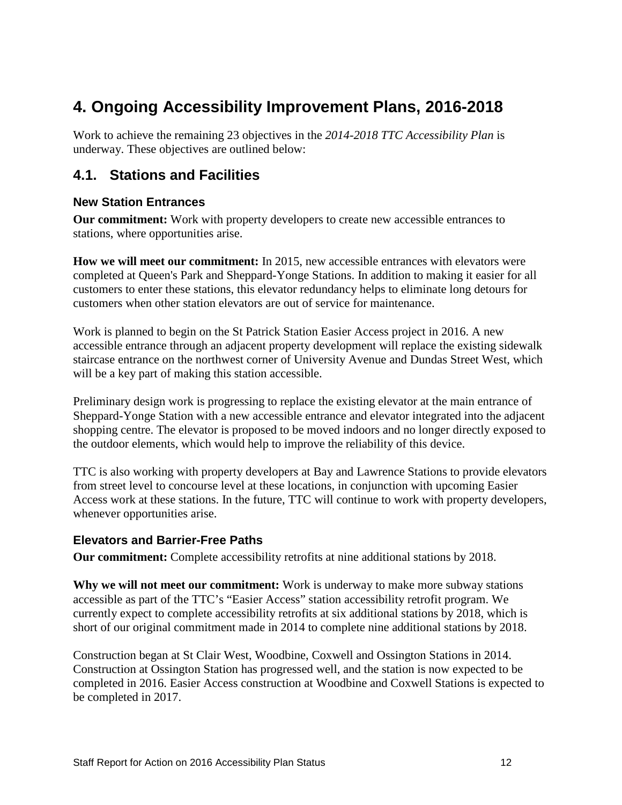# <span id="page-11-0"></span>**4. Ongoing Accessibility Improvement Plans, 2016-2018**

Work to achieve the remaining 23 objectives in the *2014-2018 TTC Accessibility Plan* is underway. These objectives are outlined below:

## <span id="page-11-1"></span>**4.1. Stations and Facilities**

#### **New Station Entrances**

**Our commitment:** Work with property developers to create new accessible entrances to stations, where opportunities arise.

**How we will meet our commitment:** In 2015, new accessible entrances with elevators were completed at Queen's Park and Sheppard-Yonge Stations. In addition to making it easier for all customers to enter these stations, this elevator redundancy helps to eliminate long detours for customers when other station elevators are out of service for maintenance.

Work is planned to begin on the St Patrick Station Easier Access project in 2016. A new accessible entrance through an adjacent property development will replace the existing sidewalk staircase entrance on the northwest corner of University Avenue and Dundas Street West, which will be a key part of making this station accessible.

Preliminary design work is progressing to replace the existing elevator at the main entrance of Sheppard-Yonge Station with a new accessible entrance and elevator integrated into the adjacent shopping centre. The elevator is proposed to be moved indoors and no longer directly exposed to the outdoor elements, which would help to improve the reliability of this device.

TTC is also working with property developers at Bay and Lawrence Stations to provide elevators from street level to concourse level at these locations, in conjunction with upcoming Easier Access work at these stations. In the future, TTC will continue to work with property developers, whenever opportunities arise.

#### **Elevators and Barrier-Free Paths**

**Our commitment:** Complete accessibility retrofits at nine additional stations by 2018.

**Why we will not meet our commitment:** Work is underway to make more subway stations accessible as part of the TTC's "Easier Access" station accessibility retrofit program. We currently expect to complete accessibility retrofits at six additional stations by 2018, which is short of our original commitment made in 2014 to complete nine additional stations by 2018.

Construction began at St Clair West, Woodbine, Coxwell and Ossington Stations in 2014. Construction at Ossington Station has progressed well, and the station is now expected to be completed in 2016. Easier Access construction at Woodbine and Coxwell Stations is expected to be completed in 2017.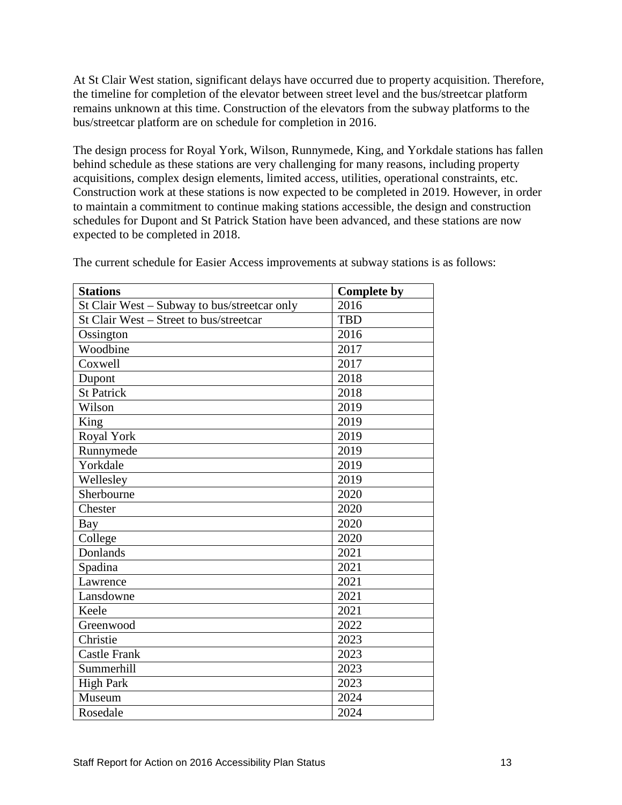At St Clair West station, significant delays have occurred due to property acquisition. Therefore, the timeline for completion of the elevator between street level and the bus/streetcar platform remains unknown at this time. Construction of the elevators from the subway platforms to the bus/streetcar platform are on schedule for completion in 2016.

The design process for Royal York, Wilson, Runnymede, King, and Yorkdale stations has fallen behind schedule as these stations are very challenging for many reasons, including property acquisitions, complex design elements, limited access, utilities, operational constraints, etc. Construction work at these stations is now expected to be completed in 2019. However, in order to maintain a commitment to continue making stations accessible, the design and construction schedules for Dupont and St Patrick Station have been advanced, and these stations are now expected to be completed in 2018.

| <b>Stations</b>                              | <b>Complete by</b> |
|----------------------------------------------|--------------------|
| St Clair West - Subway to bus/streetcar only | 2016               |
| St Clair West – Street to bus/streetcar      | <b>TBD</b>         |
| Ossington                                    | 2016               |
| Woodbine                                     | 2017               |
| Coxwell                                      | 2017               |
| Dupont                                       | 2018               |
| <b>St Patrick</b>                            | 2018               |
| Wilson                                       | 2019               |
| King                                         | 2019               |
| Royal York                                   | 2019               |
| Runnymede                                    | 2019               |
| Yorkdale                                     | 2019               |
| Wellesley                                    | 2019               |
| Sherbourne                                   | 2020               |
| Chester                                      | 2020               |
| Bay                                          | 2020               |
| College                                      | 2020               |
| Donlands                                     | 2021               |
| Spadina                                      | 2021               |
| Lawrence                                     | 2021               |
| Lansdowne                                    | 2021               |
| Keele                                        | 2021               |
| Greenwood                                    | 2022               |
| Christie                                     | 2023               |
| <b>Castle Frank</b>                          | 2023               |
| Summerhill                                   | 2023               |
| <b>High Park</b>                             | 2023               |
| Museum                                       | 2024               |
| Rosedale                                     | 2024               |

The current schedule for Easier Access improvements at subway stations is as follows: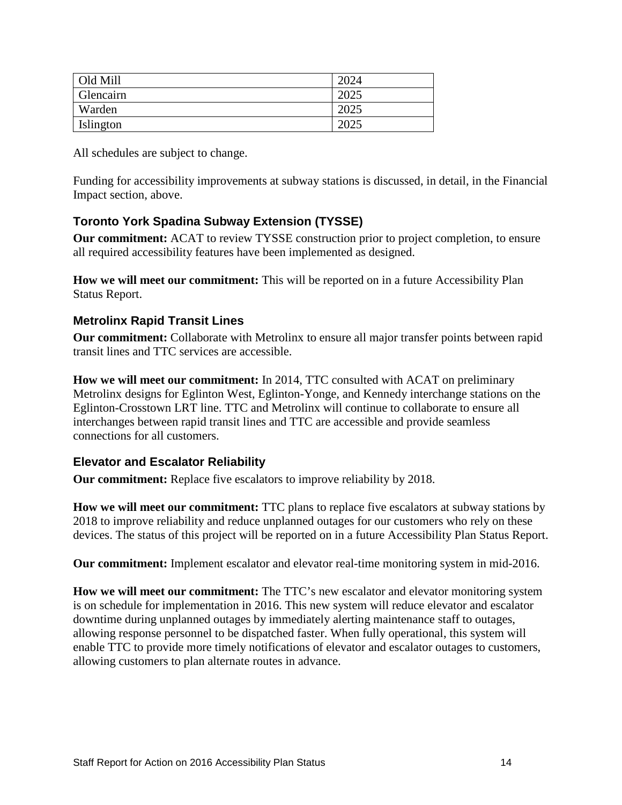| Old Mill  | 2024 |
|-----------|------|
| Glencairn | 2025 |
| Warden    | 2025 |
| Islington |      |

All schedules are subject to change.

Funding for accessibility improvements at subway stations is discussed, in detail, in the Financial Impact section, above.

#### **Toronto York Spadina Subway Extension (TYSSE)**

**Our commitment:** ACAT to review TYSSE construction prior to project completion, to ensure all required accessibility features have been implemented as designed.

**How we will meet our commitment:** This will be reported on in a future Accessibility Plan Status Report.

#### **Metrolinx Rapid Transit Lines**

**Our commitment:** Collaborate with Metrolinx to ensure all major transfer points between rapid transit lines and TTC services are accessible.

**How we will meet our commitment:** In 2014, TTC consulted with ACAT on preliminary Metrolinx designs for Eglinton West, Eglinton-Yonge, and Kennedy interchange stations on the Eglinton-Crosstown LRT line. TTC and Metrolinx will continue to collaborate to ensure all interchanges between rapid transit lines and TTC are accessible and provide seamless connections for all customers.

#### **Elevator and Escalator Reliability**

**Our commitment:** Replace five escalators to improve reliability by 2018.

**How we will meet our commitment:** TTC plans to replace five escalators at subway stations by 2018 to improve reliability and reduce unplanned outages for our customers who rely on these devices. The status of this project will be reported on in a future Accessibility Plan Status Report.

**Our commitment:** Implement escalator and elevator real-time monitoring system in mid-2016.

**How we will meet our commitment:** The TTC's new escalator and elevator monitoring system is on schedule for implementation in 2016. This new system will reduce elevator and escalator downtime during unplanned outages by immediately alerting maintenance staff to outages, allowing response personnel to be dispatched faster. When fully operational, this system will enable TTC to provide more timely notifications of elevator and escalator outages to customers, allowing customers to plan alternate routes in advance.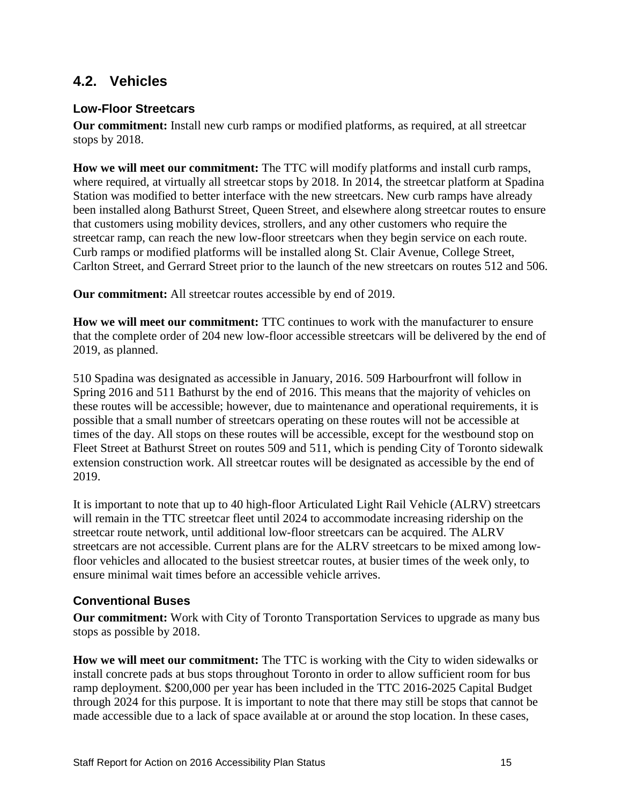### <span id="page-14-0"></span>**4.2. Vehicles**

#### **Low-Floor Streetcars**

**Our commitment:** Install new curb ramps or modified platforms, as required, at all streetcar stops by 2018.

**How we will meet our commitment:** The TTC will modify platforms and install curb ramps, where required, at virtually all streetcar stops by 2018. In 2014, the streetcar platform at Spadina Station was modified to better interface with the new streetcars. New curb ramps have already been installed along Bathurst Street, Queen Street, and elsewhere along streetcar routes to ensure that customers using mobility devices, strollers, and any other customers who require the streetcar ramp, can reach the new low-floor streetcars when they begin service on each route. Curb ramps or modified platforms will be installed along St. Clair Avenue, College Street, Carlton Street, and Gerrard Street prior to the launch of the new streetcars on routes 512 and 506.

**Our commitment:** All streetcar routes accessible by end of 2019.

**How we will meet our commitment:** TTC continues to work with the manufacturer to ensure that the complete order of 204 new low-floor accessible streetcars will be delivered by the end of 2019, as planned.

510 Spadina was designated as accessible in January, 2016. 509 Harbourfront will follow in Spring 2016 and 511 Bathurst by the end of 2016. This means that the majority of vehicles on these routes will be accessible; however, due to maintenance and operational requirements, it is possible that a small number of streetcars operating on these routes will not be accessible at times of the day. All stops on these routes will be accessible, except for the westbound stop on Fleet Street at Bathurst Street on routes 509 and 511, which is pending City of Toronto sidewalk extension construction work. All streetcar routes will be designated as accessible by the end of 2019.

It is important to note that up to 40 high-floor Articulated Light Rail Vehicle (ALRV) streetcars will remain in the TTC streetcar fleet until 2024 to accommodate increasing ridership on the streetcar route network, until additional low-floor streetcars can be acquired. The ALRV streetcars are not accessible. Current plans are for the ALRV streetcars to be mixed among lowfloor vehicles and allocated to the busiest streetcar routes, at busier times of the week only, to ensure minimal wait times before an accessible vehicle arrives.

#### **Conventional Buses**

**Our commitment:** Work with City of Toronto Transportation Services to upgrade as many bus stops as possible by 2018.

**How we will meet our commitment:** The TTC is working with the City to widen sidewalks or install concrete pads at bus stops throughout Toronto in order to allow sufficient room for bus ramp deployment. \$200,000 per year has been included in the TTC 2016-2025 Capital Budget through 2024 for this purpose. It is important to note that there may still be stops that cannot be made accessible due to a lack of space available at or around the stop location. In these cases,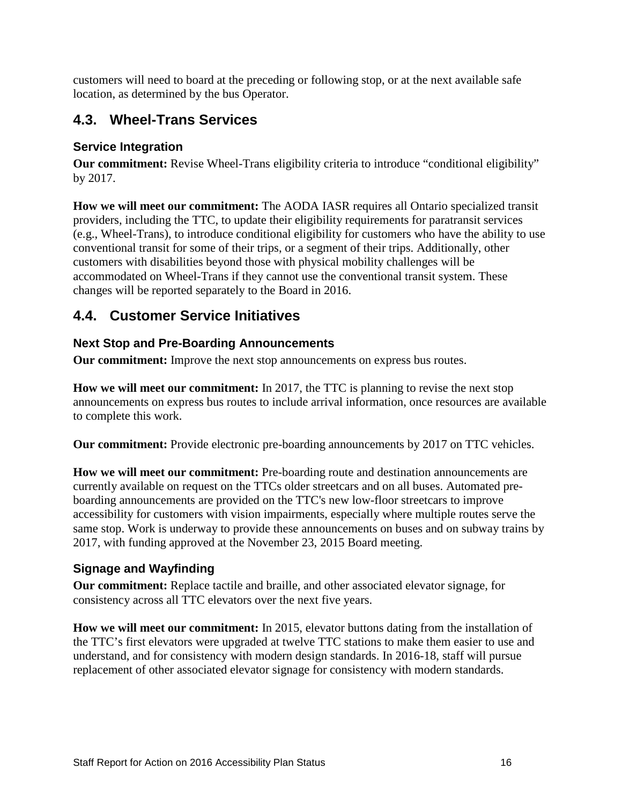customers will need to board at the preceding or following stop, or at the next available safe location, as determined by the bus Operator.

## <span id="page-15-0"></span>**4.3. Wheel-Trans Services**

### **Service Integration**

**Our commitment:** Revise Wheel-Trans eligibility criteria to introduce "conditional eligibility" by 2017.

**How we will meet our commitment:** The AODA IASR requires all Ontario specialized transit providers, including the TTC, to update their eligibility requirements for paratransit services (e.g., Wheel-Trans), to introduce conditional eligibility for customers who have the ability to use conventional transit for some of their trips, or a segment of their trips. Additionally, other customers with disabilities beyond those with physical mobility challenges will be accommodated on Wheel-Trans if they cannot use the conventional transit system. These changes will be reported separately to the Board in 2016.

## <span id="page-15-1"></span>**4.4. Customer Service Initiatives**

### **Next Stop and Pre-Boarding Announcements**

**Our commitment:** Improve the next stop announcements on express bus routes.

**How we will meet our commitment:** In 2017, the TTC is planning to revise the next stop announcements on express bus routes to include arrival information, once resources are available to complete this work.

**Our commitment:** Provide electronic pre-boarding announcements by 2017 on TTC vehicles.

**How we will meet our commitment:** Pre-boarding route and destination announcements are currently available on request on the TTCs older streetcars and on all buses. Automated preboarding announcements are provided on the TTC's new low-floor streetcars to improve accessibility for customers with vision impairments, especially where multiple routes serve the same stop. Work is underway to provide these announcements on buses and on subway trains by 2017, with funding approved at the November 23, 2015 Board meeting.

## **Signage and Wayfinding**

**Our commitment:** Replace tactile and braille, and other associated elevator signage, for consistency across all TTC elevators over the next five years.

**How we will meet our commitment:** In 2015, elevator buttons dating from the installation of the TTC's first elevators were upgraded at twelve TTC stations to make them easier to use and understand, and for consistency with modern design standards. In 2016-18, staff will pursue replacement of other associated elevator signage for consistency with modern standards.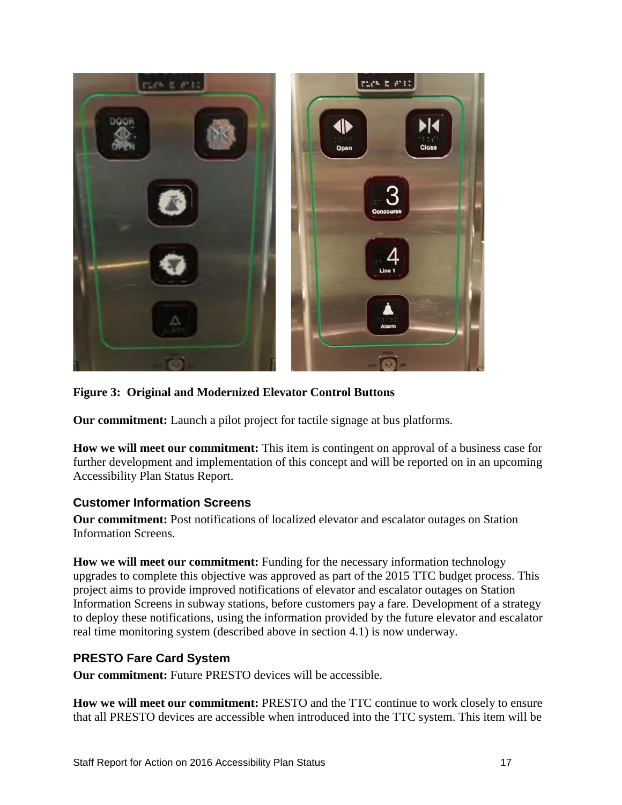

**Figure 3: Original and Modernized Elevator Control Buttons** 

**Our commitment:** Launch a pilot project for tactile signage at bus platforms.

**How we will meet our commitment:** This item is contingent on approval of a business case for further development and implementation of this concept and will be reported on in an upcoming Accessibility Plan Status Report.

#### **Customer Information Screens**

**Our commitment:** Post notifications of localized elevator and escalator outages on Station Information Screens.

**How we will meet our commitment:** Funding for the necessary information technology upgrades to complete this objective was approved as part of the 2015 TTC budget process. This project aims to provide improved notifications of elevator and escalator outages on Station Information Screens in subway stations, before customers pay a fare. Development of a strategy to deploy these notifications, using the information provided by the future elevator and escalator real time monitoring system (described above in section 4.1) is now underway.

#### **PRESTO Fare Card System**

**Our commitment:** Future PRESTO devices will be accessible.

**How we will meet our commitment:** PRESTO and the TTC continue to work closely to ensure that all PRESTO devices are accessible when introduced into the TTC system. This item will be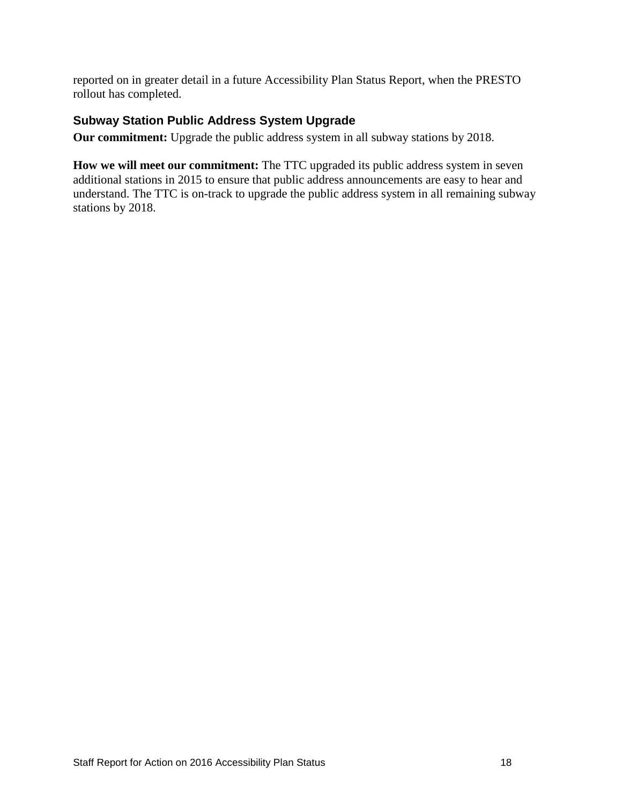reported on in greater detail in a future Accessibility Plan Status Report, when the PRESTO rollout has completed.

#### **Subway Station Public Address System Upgrade**

**Our commitment:** Upgrade the public address system in all subway stations by 2018.

**How we will meet our commitment:** The TTC upgraded its public address system in seven additional stations in 2015 to ensure that public address announcements are easy to hear and understand. The TTC is on-track to upgrade the public address system in all remaining subway stations by 2018.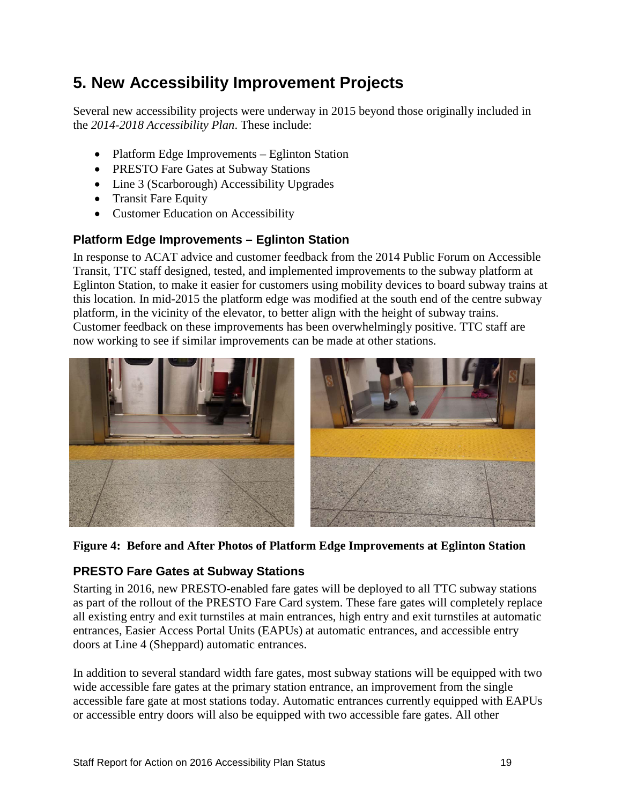# <span id="page-18-0"></span>**5. New Accessibility Improvement Projects**

Several new accessibility projects were underway in 2015 beyond those originally included in the *2014-2018 Accessibility Plan*. These include:

- Platform Edge Improvements Eglinton Station
- PRESTO Fare Gates at Subway Stations
- Line 3 (Scarborough) Accessibility Upgrades
- Transit Fare Equity
- Customer Education on Accessibility

#### **Platform Edge Improvements – Eglinton Station**

In response to ACAT advice and customer feedback from the 2014 Public Forum on Accessible Transit, TTC staff designed, tested, and implemented improvements to the subway platform at Eglinton Station, to make it easier for customers using mobility devices to board subway trains at this location. In mid-2015 the platform edge was modified at the south end of the centre subway platform, in the vicinity of the elevator, to better align with the height of subway trains. Customer feedback on these improvements has been overwhelmingly positive. TTC staff are now working to see if similar improvements can be made at other stations.



**Figure 4: Before and After Photos of Platform Edge Improvements at Eglinton Station** 

#### **PRESTO Fare Gates at Subway Stations**

Starting in 2016, new PRESTO-enabled fare gates will be deployed to all TTC subway stations as part of the rollout of the PRESTO Fare Card system. These fare gates will completely replace all existing entry and exit turnstiles at main entrances, high entry and exit turnstiles at automatic entrances, Easier Access Portal Units (EAPUs) at automatic entrances, and accessible entry doors at Line 4 (Sheppard) automatic entrances.

In addition to several standard width fare gates, most subway stations will be equipped with two wide accessible fare gates at the primary station entrance, an improvement from the single accessible fare gate at most stations today. Automatic entrances currently equipped with EAPUs or accessible entry doors will also be equipped with two accessible fare gates. All other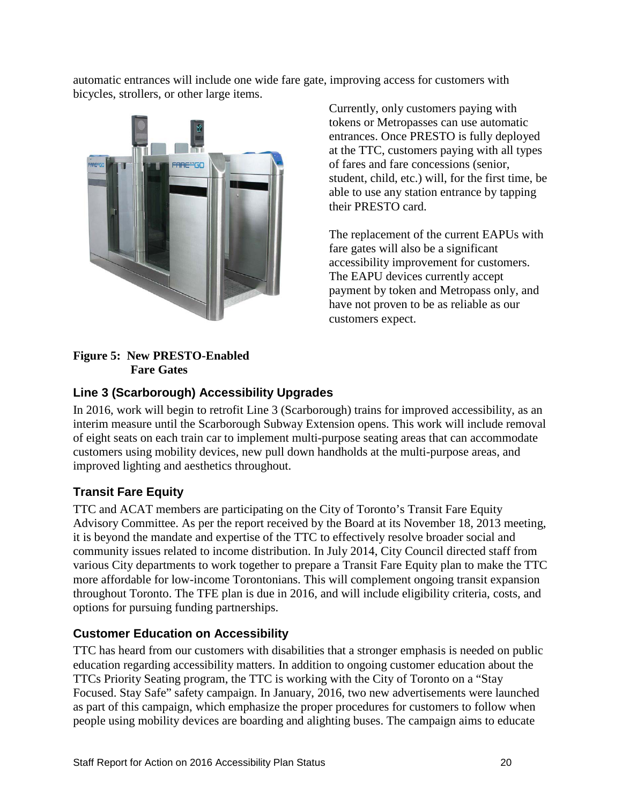automatic entrances will include one wide fare gate, improving access for customers with bicycles, strollers, or other large items.



Currently, only customers paying with tokens or Metropasses can use automatic entrances. Once PRESTO is fully deployed at the TTC, customers paying with all types of fares and fare concessions (senior, student, child, etc.) will, for the first time, be able to use any station entrance by tapping their PRESTO card.

The replacement of the current EAPUs with fare gates will also be a significant accessibility improvement for customers. The EAPU devices currently accept payment by token and Metropass only, and have not proven to be as reliable as our customers expect.

#### **Figure 5: New PRESTO-Enabled Fare Gates**

#### **Line 3 (Scarborough) Accessibility Upgrades**

In 2016, work will begin to retrofit Line 3 (Scarborough) trains for improved accessibility, as an interim measure until the Scarborough Subway Extension opens. This work will include removal of eight seats on each train car to implement multi-purpose seating areas that can accommodate customers using mobility devices, new pull down handholds at the multi-purpose areas, and improved lighting and aesthetics throughout.

#### **Transit Fare Equity**

TTC and ACAT members are participating on the City of Toronto's Transit Fare Equity Advisory Committee. As per the report received by the Board at its November 18, 2013 meeting, it is beyond the mandate and expertise of the TTC to effectively resolve broader social and community issues related to income distribution. In July 2014, City Council directed staff from various City departments to work together to prepare a Transit Fare Equity plan to make the TTC more affordable for low-income Torontonians. This will complement ongoing transit expansion throughout Toronto. The TFE plan is due in 2016, and will include eligibility criteria, costs, and options for pursuing funding partnerships.

#### **Customer Education on Accessibility**

TTC has heard from our customers with disabilities that a stronger emphasis is needed on public education regarding accessibility matters. In addition to ongoing customer education about the TTCs Priority Seating program, the TTC is working with the City of Toronto on a "Stay Focused. Stay Safe" safety campaign. In January, 2016, two new advertisements were launched as part of this campaign, which emphasize the proper procedures for customers to follow when people using mobility devices are boarding and alighting buses. The campaign aims to educate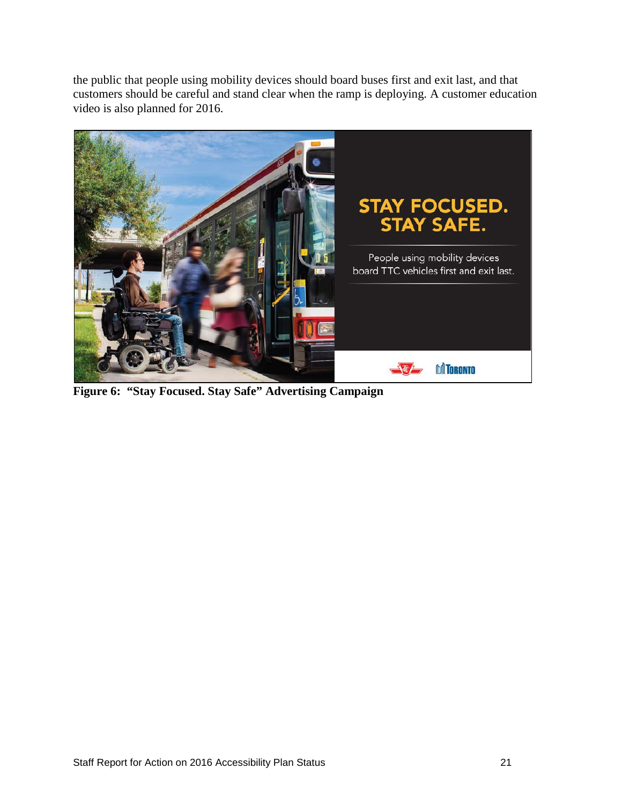the public that people using mobility devices should board buses first and exit last, and that customers should be careful and stand clear when the ramp is deploying. A customer education video is also planned for 2016.



**Figure 6: "Stay Focused. Stay Safe" Advertising Campaign**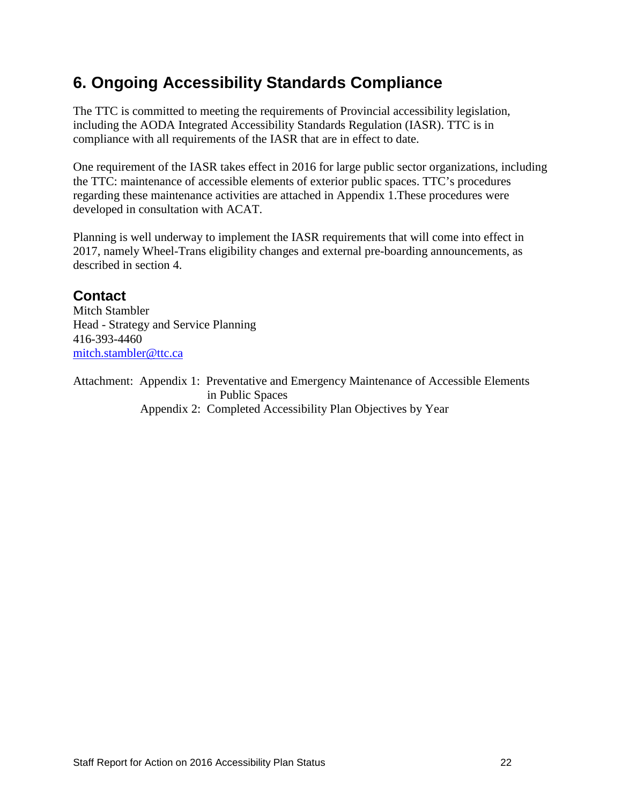# <span id="page-21-0"></span>**6. Ongoing Accessibility Standards Compliance**

The TTC is committed to meeting the requirements of Provincial accessibility legislation, including the AODA Integrated Accessibility Standards Regulation (IASR). TTC is in compliance with all requirements of the IASR that are in effect to date.

One requirement of the IASR takes effect in 2016 for large public sector organizations, including the TTC: maintenance of accessible elements of exterior public spaces. TTC's procedures regarding these maintenance activities are attached in Appendix 1.These procedures were developed in consultation with ACAT.

Planning is well underway to implement the IASR requirements that will come into effect in 2017, namely Wheel-Trans eligibility changes and external pre-boarding announcements, as described in section 4.

### **Contact**

Mitch Stambler Head - Strategy and Service Planning 416-393-4460 [mitch.stambler@ttc.ca](mailto:mitch.stambler@ttc.ca) 

Attachment: Appendix 1: Preventative and Emergency Maintenance of Accessible Elements in Public Spaces Appendix 2: Completed Accessibility Plan Objectives by Year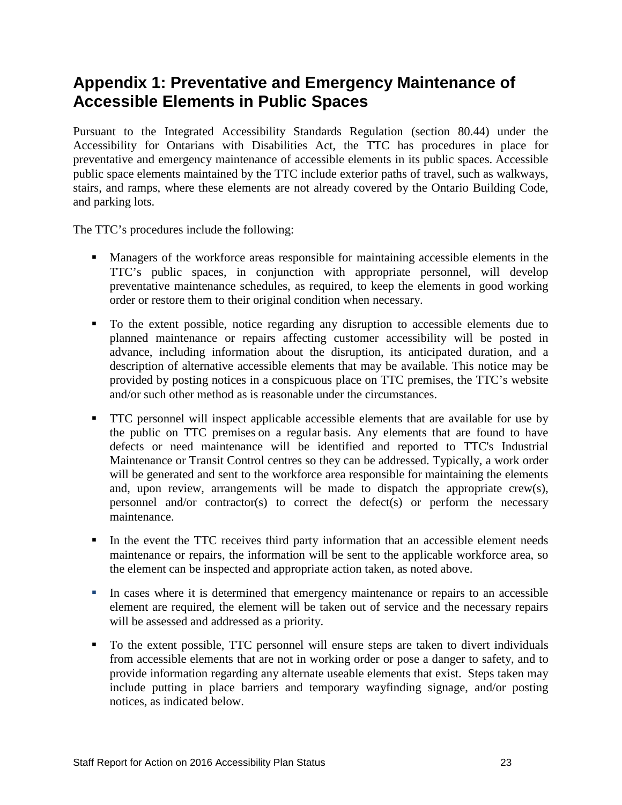# <span id="page-22-0"></span>**Appendix 1: Preventative and Emergency Maintenance of Accessible Elements in Public Spaces**

Pursuant to the Integrated Accessibility Standards Regulation (section 80.44) under the Accessibility for Ontarians with Disabilities Act, the TTC has procedures in place for preventative and emergency maintenance of accessible elements in its public spaces. Accessible public space elements maintained by the TTC include exterior paths of travel, such as walkways, stairs, and ramps, where these elements are not already covered by the Ontario Building Code, and parking lots.

The TTC's procedures include the following:

- Managers of the workforce areas responsible for maintaining accessible elements in the TTC's public spaces, in conjunction with appropriate personnel, will develop preventative maintenance schedules, as required, to keep the elements in good working order or restore them to their original condition when necessary.
- To the extent possible, notice regarding any disruption to accessible elements due to planned maintenance or repairs affecting customer accessibility will be posted in advance, including information about the disruption, its anticipated duration, and a description of alternative accessible elements that may be available. This notice may be provided by posting notices in a conspicuous place on TTC premises, the TTC's website and/or such other method as is reasonable under the circumstances.
- **TTC** personnel will inspect applicable accessible elements that are available for use by the public on TTC premises on a regular basis. Any elements that are found to have defects or need maintenance will be identified and reported to TTC's Industrial Maintenance or Transit Control centres so they can be addressed. Typically, a work order will be generated and sent to the workforce area responsible for maintaining the elements and, upon review, arrangements will be made to dispatch the appropriate crew(s), personnel and/or contractor(s) to correct the defect(s) or perform the necessary maintenance.
- In the event the TTC receives third party information that an accessible element needs maintenance or repairs, the information will be sent to the applicable workforce area, so the element can be inspected and appropriate action taken, as noted above.
- In cases where it is determined that emergency maintenance or repairs to an accessible element are required, the element will be taken out of service and the necessary repairs will be assessed and addressed as a priority.
- To the extent possible, TTC personnel will ensure steps are taken to divert individuals from accessible elements that are not in working order or pose a danger to safety, and to provide information regarding any alternate useable elements that exist. Steps taken may include putting in place barriers and temporary wayfinding signage, and/or posting notices, as indicated below.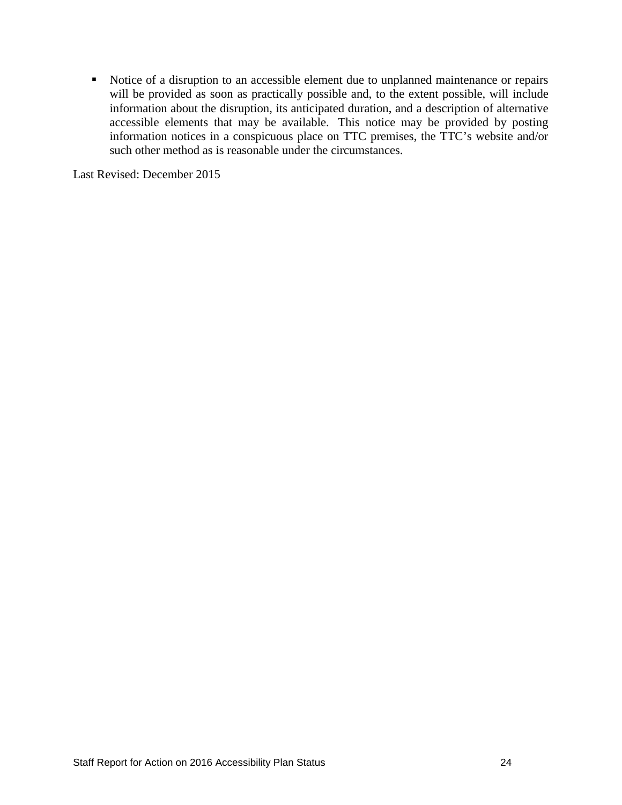Notice of a disruption to an accessible element due to unplanned maintenance or repairs will be provided as soon as practically possible and, to the extent possible, will include information about the disruption, its anticipated duration, and a description of alternative accessible elements that may be available. This notice may be provided by posting information notices in a conspicuous place on TTC premises, the TTC's website and/or such other method as is reasonable under the circumstances.

Last Revised: December 2015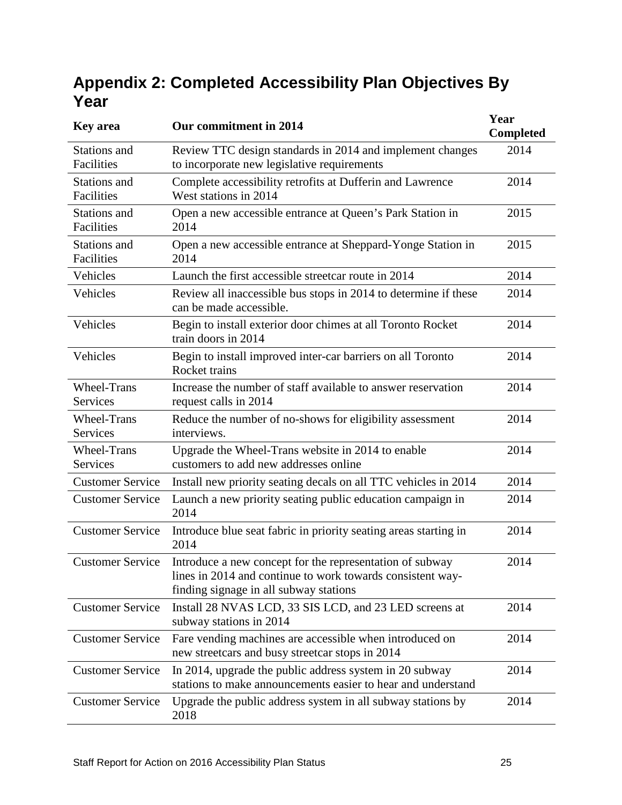# <span id="page-24-0"></span>**Appendix 2: Completed Accessibility Plan Objectives By Year**

| <b>Key area</b>                | Our commitment in 2014                                                                                                                                           | Year<br><b>Completed</b> |
|--------------------------------|------------------------------------------------------------------------------------------------------------------------------------------------------------------|--------------------------|
| Stations and<br>Facilities     | Review TTC design standards in 2014 and implement changes<br>to incorporate new legislative requirements                                                         | 2014                     |
| Stations and<br>Facilities     | Complete accessibility retrofits at Dufferin and Lawrence<br>West stations in 2014                                                                               | 2014                     |
| Stations and<br>Facilities     | Open a new accessible entrance at Queen's Park Station in<br>2014                                                                                                | 2015                     |
| Stations and<br>Facilities     | Open a new accessible entrance at Sheppard-Yonge Station in<br>2014                                                                                              | 2015                     |
| Vehicles                       | Launch the first accessible streetcar route in 2014                                                                                                              | 2014                     |
| Vehicles                       | Review all inaccessible bus stops in 2014 to determine if these<br>can be made accessible.                                                                       | 2014                     |
| Vehicles                       | Begin to install exterior door chimes at all Toronto Rocket<br>train doors in 2014                                                                               | 2014                     |
| Vehicles                       | Begin to install improved inter-car barriers on all Toronto<br><b>Rocket trains</b>                                                                              | 2014                     |
| <b>Wheel-Trans</b><br>Services | Increase the number of staff available to answer reservation<br>request calls in 2014                                                                            | 2014                     |
| <b>Wheel-Trans</b><br>Services | Reduce the number of no-shows for eligibility assessment<br>interviews.                                                                                          | 2014                     |
| <b>Wheel-Trans</b><br>Services | Upgrade the Wheel-Trans website in 2014 to enable<br>customers to add new addresses online                                                                       | 2014                     |
| <b>Customer Service</b>        | Install new priority seating decals on all TTC vehicles in 2014                                                                                                  | 2014                     |
| <b>Customer Service</b>        | Launch a new priority seating public education campaign in<br>2014                                                                                               | 2014                     |
| <b>Customer Service</b>        | Introduce blue seat fabric in priority seating areas starting in<br>2014                                                                                         | 2014                     |
| <b>Customer Service</b>        | Introduce a new concept for the representation of subway<br>lines in 2014 and continue to work towards consistent way-<br>finding signage in all subway stations | 2014                     |
| <b>Customer Service</b>        | Install 28 NVAS LCD, 33 SIS LCD, and 23 LED screens at<br>subway stations in 2014                                                                                | 2014                     |
| <b>Customer Service</b>        | Fare vending machines are accessible when introduced on<br>new streetcars and busy streetcar stops in 2014                                                       | 2014                     |
| <b>Customer Service</b>        | In 2014, upgrade the public address system in 20 subway<br>stations to make announcements easier to hear and understand                                          | 2014                     |
| <b>Customer Service</b>        | Upgrade the public address system in all subway stations by<br>2018                                                                                              | 2014                     |